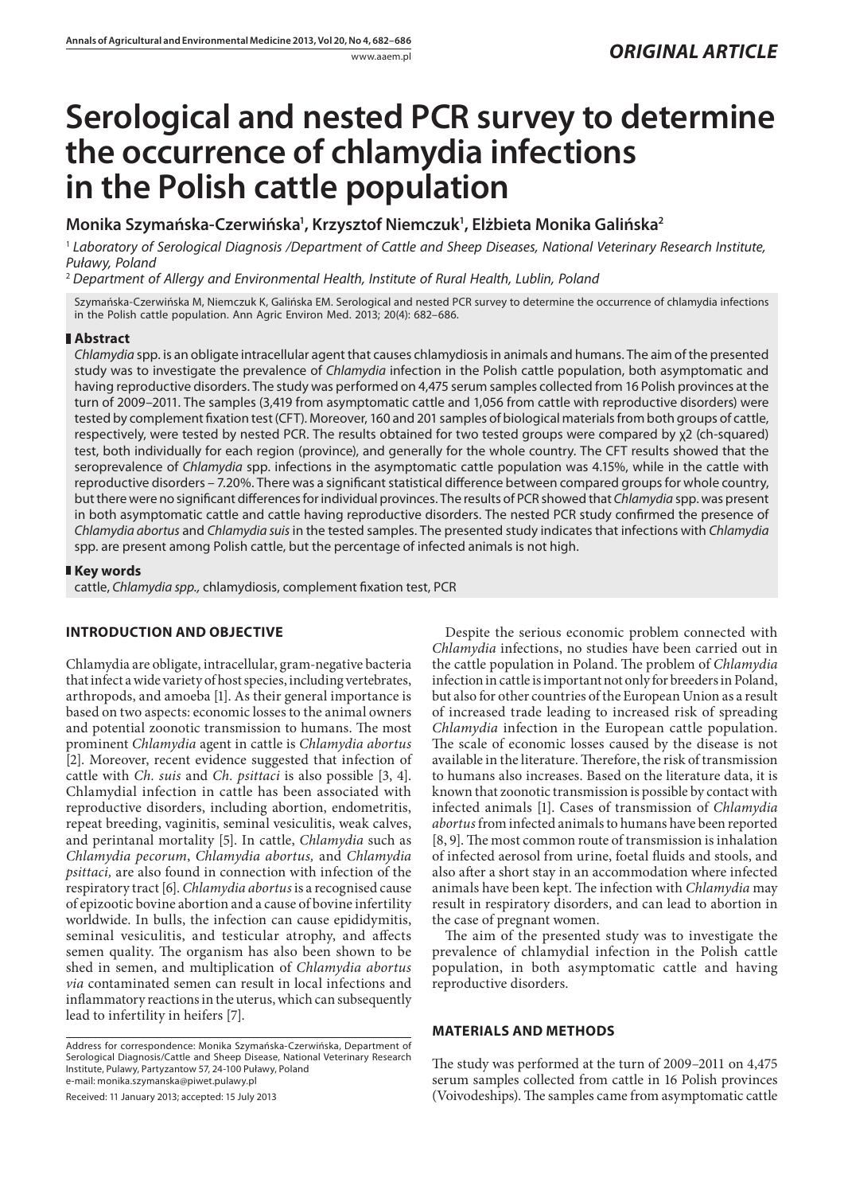# **Serological and nested PCR survey to determine the occurrence of chlamydia infections in the Polish cattle population**

Monika Szymańska-Czerwińska<sup>1</sup>, Krzysztof Niemczuk<sup>1</sup>, Elżbieta Monika Galińska<sup>2</sup>

<sup>1</sup> *Laboratory of Serological Diagnosis /Department of Cattle and Sheep Diseases, National Veterinary Research Institute, Puławy, Poland*

<sup>2</sup> *Department of Allergy and Environmental Health, Institute of Rural Health, Lublin, Poland*

Szymańska-Czerwińska M, Niemczuk K, Galińska EM. Serological and nested PCR survey to determine the occurrence of chlamydia infections in the Polish cattle population. Ann Agric Environ Med. 2013; 20(4): 682–686.

## **Abstract**

*Chlamydia* spp. is an obligate intracellular agent that causes chlamydiosis in animals and humans. The aim of the presented study was to investigate the prevalence of *Chlamydia* infection in the Polish cattle population, both asymptomatic and having reproductive disorders. The study was performed on 4,475 serum samples collected from 16 Polish provinces at the turn of 2009–2011. The samples (3,419 from asymptomatic cattle and 1,056 from cattle with reproductive disorders) were tested by complement fixation test (CFT). Moreover, 160 and 201 samples of biological materials from both groups of cattle, respectively, were tested by nested PCR. The results obtained for two tested groups were compared by χ2 (ch-squared) test, both individually for each region (province), and generally for the whole country. The CFT results showed that the seroprevalence of *Chlamydia* spp. infections in the asymptomatic cattle population was 4.15%, while in the cattle with reproductive disorders – 7.20%. There was a significant statistical difference between compared groups for whole country, but there were no significant differences for individual provinces. The results of PCR showed that *Chlamydia* spp. was present in both asymptomatic cattle and cattle having reproductive disorders. The nested PCR study confirmed the presence of *Chlamydia abortus* and *Chlamydia suis* in the tested samples. The presented study indicates that infections with *Chlamydia* spp. are present among Polish cattle, but the percentage of infected animals is not high.

## **Key words**

cattle, *Chlamydia spp.,* chlamydiosis, complement fixation test, PCR

# **INTRODUCTION AND OBJECTIVE**

Chlamydia are obligate, intracellular, gram-negative bacteria that infect a wide variety of host species, including vertebrates, arthropods, and amoeba [1]. As their general importance is based on two aspects: economic losses to the animal owners and potential zoonotic transmission to humans. The most prominent *Chlamydia* agent in cattle is *Chlamydia abortus*  [2]. Moreover, recent evidence suggested that infection of cattle with *Ch. suis* and *Ch. psittaci* is also possible [3, 4]. Chlamydial infection in cattle has been associated with reproductive disorders, including abortion, endometritis, repeat breeding, vaginitis, seminal vesiculitis, weak calves, and perintanal mortality [5]. In cattle, *Chlamydia* such as *Chlamydia pecorum*, *Chlamydia abortus,* and *Chlamydia psittaci,* are also found in connection with infection of the respiratory tract [6]. *Chlamydia abortus* is a recognised cause of epizootic bovine abortion and a cause of bovine infertility worldwide. In bulls, the infection can cause epididymitis, seminal vesiculitis, and testicular atrophy, and affects semen quality. The organism has also been shown to be shed in semen, and multiplication of *Chlamydia abortus via* contaminated semen can result in local infections and inflammatory reactions in the uterus, which can subsequently lead to infertility in heifers [7].

Address for correspondence: Monika Szymańska-Czerwińska, Department of Serological Diagnosis/Cattle and Sheep Disease, National Veterinary Research Institute, Pulawy, Partyzantow 57, 24-100 Puławy, Poland e-mail: monika.szymanska@piwet.pulawy.pl

Received: 11 January 2013; accepted: 15 July 2013

Despite the serious economic problem connected with *Chlamydia* infections, no studies have been carried out in the cattle population in Poland. The problem of *Chlamydia* infection in cattle is important not only for breeders in Poland, but also for other countries of the European Union as a result of increased trade leading to increased risk of spreading *Chlamydia* infection in the European cattle population. The scale of economic losses caused by the disease is not available in the literature. Therefore, the risk of transmission to humans also increases. Based on the literature data, it is known that zoonotic transmission is possible by contact with infected animals [1]. Cases of transmission of *Chlamydia abortus* from infected animals to humans have been reported [8, 9]. The most common route of transmission is inhalation of infected aerosol from urine, foetal fluids and stools, and also after a short stay in an accommodation where infected animals have been kept. The infection with *Chlamydia* may result in respiratory disorders, and can lead to abortion in the case of pregnant women.

The aim of the presented study was to investigate the prevalence of chlamydial infection in the Polish cattle population, in both asymptomatic cattle and having reproductive disorders.

# **MATERIALS AND METHODS**

The study was performed at the turn of 2009–2011 on 4,475 serum samples collected from cattle in 16 Polish provinces (Voivodeships). The samples came from asymptomatic cattle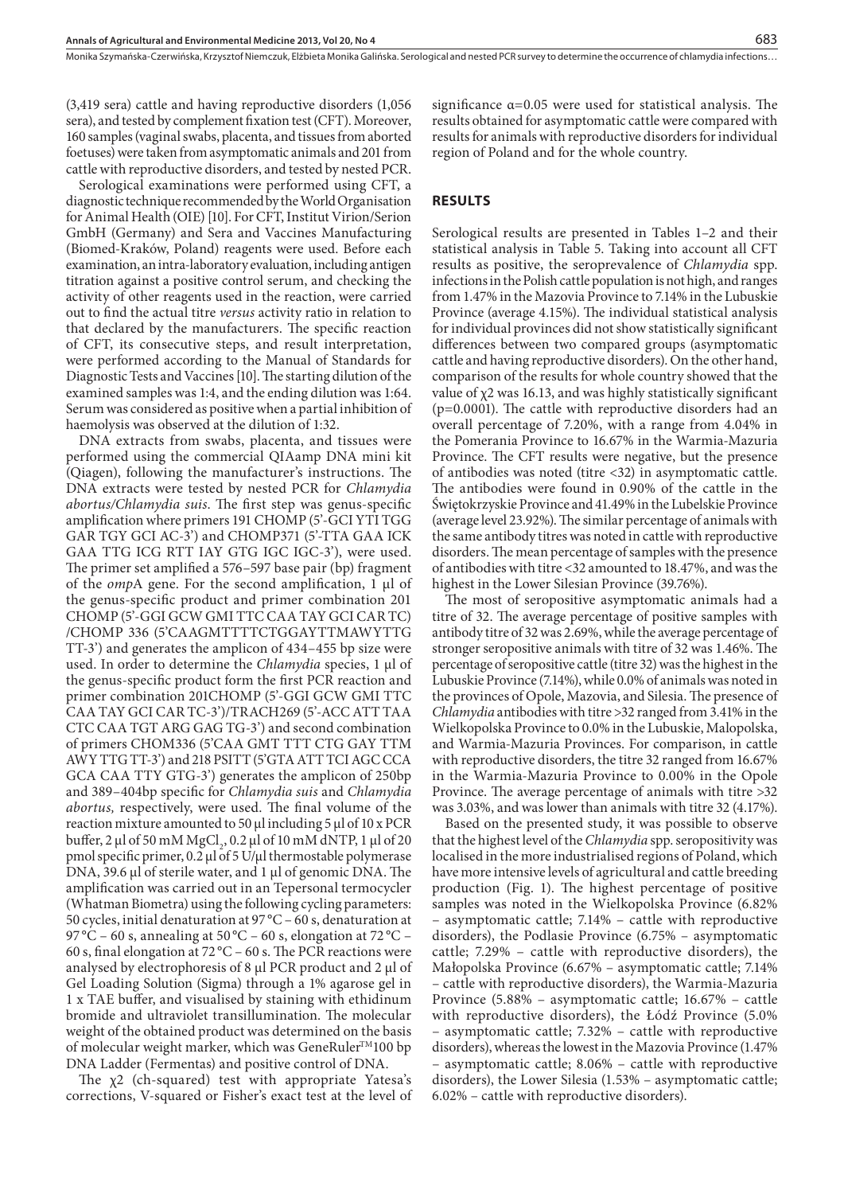Monika Szymańska-Czerwińska, Krzysztof Niemczuk, Elżbieta Monika Galińska . Serological and nested PCR survey to determine the occurrence of chlamydia infections…

(3,419 sera) cattle and having reproductive disorders (1,056 sera), and tested by complement fixation test (CFT). Moreover, 160 samples (vaginal swabs, placenta, and tissues from aborted foetuses) were taken from asymptomatic animals and 201 from cattle with reproductive disorders, and tested by nested PCR.

Serological examinations were performed using CFT, a diagnostic technique recommended by the world Organisation for Animal Health (OIE) [10]. For CFT, Institut Virion/Serion GmbH (Germany) and Sera and Vaccines Manufacturing (Biomed-Kraków, Poland) reagents were used. Before each examination, an intra-laboratory evaluation, including antigen titration against a positive control serum, and checking the activity of other reagents used in the reaction, were carried out to find the actual titre *versus* activity ratio in relation to that declared by the manufacturers. The specific reaction of CFT, its consecutive steps, and result interpretation, were performed according to the Manual of Standards for Diagnostic Tests and Vaccines [10]. The starting dilution of the examined samples was 1:4, and the ending dilution was 1:64. Serum was considered as positive when a partial inhibition of haemolysis was observed at the dilution of 1:32.

DNA extracts from swabs, placenta, and tissues were performed using the commercial QIAamp DNA mini kit (Qiagen), following the manufacturer's instructions. The DNA extracts were tested by nested PCR for *Chlamydia abortus/Chlamydia suis*. The first step was genus-specific amplification where primers 191 CHOMP (5'-GCI YTI TGG GAR TGY GCI AC-3') and CHOMP371 (5'-TTA GAA ICK GAA TTG ICG RTT IAY GTG IGC IGC-3'), were used. The primer set amplified a 576–597 base pair (bp) fragment of the *omp*A gene. For the second amplification, 1 μl of the genus-specific product and primer combination 201 CHOMP (5'-GGI GCW GMI TTC CAA TAY GCI CAR TC) /CHOMP 336 (5'CAAGMTTTTCTGGAYTTMAWYTTG TT-3') and generates the amplicon of 434–455 bp size were used. In order to determine the *Chlamydia* species, 1 μl of the genus-specific product form the first PCR reaction and primer combination 201CHOMP (5'-GGI GCW GMI TTC CAA TAY GCI CAR TC-3')/TRACH269 (5'-ACC ATT TAA CTC CAA TGT ARG GAG TG-3') and second combination of primers CHOM336 (5'CAA GMT TTT CTG GAY TTM AWY TTG TT-3') and 218 PSITT (5'GTA ATT TCI AGC CCA GCA CAA TTY GTG-3') generates the amplicon of 250bp and 389–404bp specific for *Chlamydia suis* and *Chlamydia abortus,* respectively, were used. The final volume of the reaction mixture amounted to 50 μl including 5 μl of 10 x PCR buffer, 2 μl of 50 mM MgCl<sub>2</sub>, 0.2 μl of 10 mM dNTP, 1 μl of 20 pmol specific primer, 0.2 μl of 5 U/μl thermostable polymerase DNA, 39.6 μl of sterile water, and 1 μl of genomic DNA. The amplification was carried out in an Tepersonal termocycler (Whatman Biometra) using the following cycling parameters: 50 cycles, initial denaturation at 97 °C – 60 s, denaturation at 97 °C – 60 s, annealing at 50 °C – 60 s, elongation at 72 °C – 60 s, final elongation at 72 °C – 60 s. The PCR reactions were analysed by electrophoresis of 8 μl PCR product and 2 μl of Gel Loading Solution (Sigma) through a 1% agarose gel in 1 x TAE buffer, and visualised by staining with ethidinum bromide and ultraviolet transillumination. The molecular weight of the obtained product was determined on the basis of molecular weight marker, which was GeneRuler™100 bp DNA Ladder (Fermentas) and positive control of DNA.

The  $\chi$ 2 (ch-squared) test with appropriate Yatesa's corrections, V-squared or Fisher's exact test at the level of

significance  $\alpha$ =0.05 were used for statistical analysis. The results obtained for asymptomatic cattle were compared with results for animals with reproductive disorders for individual region of Poland and for the whole country.

## **RESULTS**

Serological results are presented in Tables 1–2 and their statistical analysis in Table 5. Taking into account all CFT results as positive, the seroprevalence of *Chlamydia* spp. infections in the Polish cattle population is not high, and ranges from 1.47% in the Mazovia Province to 7.14% in the Lubuskie Province (average 4.15%). The individual statistical analysis for individual provinces did not show statistically significant differences between two compared groups (asymptomatic cattle and having reproductive disorders). On the other hand, comparison of the results for whole country showed that the value of χ2 was 16.13, and was highly statistically significant (p=0.0001). The cattle with reproductive disorders had an overall percentage of 7.20%, with a range from 4.04% in the Pomerania Province to 16.67% in the Warmia-Mazuria Province. The CFT results were negative, but the presence of antibodies was noted (titre <32) in asymptomatic cattle. The antibodies were found in 0.90% of the cattle in the Świętokrzyskie Province and 41.49% in the Lubelskie Province (average level 23.92%). The similar percentage of animals with the same antibody titres was noted in cattle with reproductive disorders. The mean percentage of samples with the presence of antibodies with titre <32 amounted to 18.47%, and was the highest in the Lower Silesian Province (39.76%).

The most of seropositive asymptomatic animals had a titre of 32. The average percentage of positive samples with antibody titre of 32 was 2.69%, while the average percentage of stronger seropositive animals with titre of 32 was 1.46%. The percentage of seropositive cattle (titre 32) was the highest in the Lubuskie Province (7.14%), while 0.0% of animals was noted in the provinces of Opole, Mazovia, and Silesia. The presence of *Chlamydia* antibodies with titre >32 ranged from 3.41% in the Wielkopolska Province to 0.0% in the Lubuskie, Malopolska, and Warmia-Mazuria Provinces. For comparison, in cattle with reproductive disorders, the titre 32 ranged from 16.67% in the Warmia-Mazuria Province to 0.00% in the Opole Province. The average percentage of animals with titre >32 was 3.03%, and was lower than animals with titre 32 (4.17%).

Based on the presented study, it was possible to observe that the highest level of the *Chlamydia* spp. seropositivity was localised in the more industrialised regions of Poland, which have more intensive levels of agricultural and cattle breeding production (Fig. 1). The highest percentage of positive samples was noted in the Wielkopolska Province (6.82% – asymptomatic cattle; 7.14% – cattle with reproductive disorders), the Podlasie Province (6.75% – asymptomatic cattle; 7.29% – cattle with reproductive disorders), the Małopolska Province (6.67% – asymptomatic cattle; 7.14% – cattle with reproductive disorders), the Warmia-Mazuria Province (5.88% – asymptomatic cattle; 16.67% – cattle with reproductive disorders), the Łódź Province (5.0% – asymptomatic cattle; 7.32% – cattle with reproductive disorders), whereas the lowest in the Mazovia Province (1.47% – asymptomatic cattle; 8.06% – cattle with reproductive disorders), the Lower Silesia (1.53% – asymptomatic cattle; 6.02% – cattle with reproductive disorders).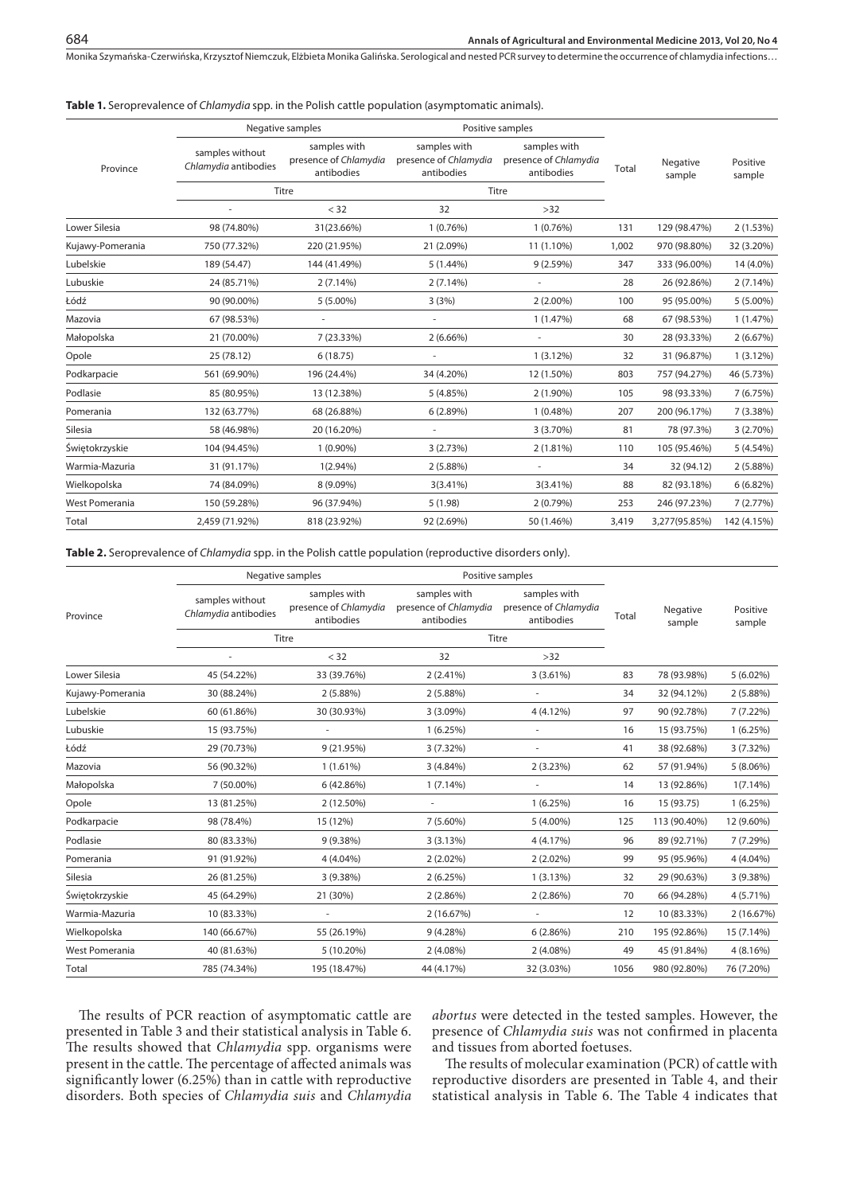Monika Szymańska-Czerwińska, Krzysztof Niemczuk, Elżbieta Monika Galińska . Serological and nested PCR survey to determine the occurrence of chlamydia infections…

### **Table 1.** Seroprevalence of *Chlamydia* spp. in the Polish cattle population (asymptomatic animals).

|                  | Negative samples                        |                                                     | Positive samples                                    |                                                     |       |                    |                    |
|------------------|-----------------------------------------|-----------------------------------------------------|-----------------------------------------------------|-----------------------------------------------------|-------|--------------------|--------------------|
| Province         | samples without<br>Chlamydia antibodies | samples with<br>presence of Chlamydia<br>antibodies | samples with<br>presence of Chlamydia<br>antibodies | samples with<br>presence of Chlamydia<br>antibodies | Total | Negative<br>sample | Positive<br>sample |
|                  | Titre                                   |                                                     | Titre                                               |                                                     |       |                    |                    |
|                  |                                         | < 32                                                | 32                                                  | $>32$                                               |       |                    |                    |
| Lower Silesia    | 98 (74.80%)                             | 31(23.66%)                                          | 1(0.76%)                                            | 1(0.76%)                                            | 131   | 129 (98.47%)       | 2(1.53%)           |
| Kujawy-Pomerania | 750 (77.32%)                            | 220 (21.95%)                                        | 21 (2.09%)                                          | 11 (1.10%)                                          | 1,002 | 970 (98.80%)       | 32 (3.20%)         |
| Lubelskie        | 189 (54.47)                             | 144 (41.49%)                                        | $5(1.44\%)$                                         | 9(2.59%)                                            | 347   | 333 (96.00%)       | 14 (4.0%)          |
| Lubuskie         | 24 (85.71%)                             | $2(7.14\%)$                                         | 2(7.14%)                                            |                                                     | 28    | 26 (92.86%)        | $2(7.14\%)$        |
| Łódź             | 90 (90.00%)                             | $5(5.00\%)$                                         | 3(3%)                                               | $2(2.00\%)$                                         | 100   | 95 (95.00%)        | 5 (5.00%)          |
| Mazovia          | 67 (98.53%)                             |                                                     |                                                     | 1(1.47%)                                            | 68    | 67 (98.53%)        | 1(1.47%)           |
| Małopolska       | 21 (70.00%)                             | 7 (23.33%)                                          | $2(6.66\%)$                                         |                                                     | 30    | 28 (93.33%)        | 2(6.67%)           |
| Opole            | 25 (78.12)                              | 6(18.75)                                            |                                                     | $1(3.12\%)$                                         | 32    | 31 (96.87%)        | $1(3.12\%)$        |
| Podkarpacie      | 561 (69.90%)                            | 196 (24.4%)                                         | 34 (4.20%)                                          | 12 (1.50%)                                          | 803   | 757 (94.27%)       | 46 (5.73%)         |
| Podlasie         | 85 (80.95%)                             | 13 (12.38%)                                         | 5(4.85%)                                            | 2 (1.90%)                                           | 105   | 98 (93.33%)        | 7 (6.75%)          |
| Pomerania        | 132 (63.77%)                            | 68 (26.88%)                                         | 6(2.89%)                                            | $1(0.48\%)$                                         | 207   | 200 (96.17%)       | 7 (3.38%)          |
| Silesia          | 58 (46.98%)                             | 20 (16.20%)                                         |                                                     | $3(3.70\%)$                                         | 81    | 78 (97.3%)         | 3 (2.70%)          |
| Świętokrzyskie   | 104 (94.45%)                            | $1(0.90\%)$                                         | 3(2.73%)                                            | $2(1.81\%)$                                         | 110   | 105 (95.46%)       | 5(4.54%)           |
| Warmia-Mazuria   | 31 (91.17%)                             | $1(2.94\%)$                                         | 2(5.88%)                                            | $\overline{\phantom{a}}$                            | 34    | 32 (94.12)         | 2(5.88%)           |
| Wielkopolska     | 74 (84.09%)                             | 8 (9.09%)                                           | $3(3.41\%)$                                         | $3(3.41\%)$                                         | 88    | 82 (93.18%)        | 6(6.82%)           |
| West Pomerania   | 150 (59.28%)                            | 96 (37.94%)                                         | 5(1.98)                                             | 2(0.79%)                                            | 253   | 246 (97.23%)       | 7(2.77%)           |
| Total            | 2,459 (71.92%)                          | 818 (23.92%)                                        | 92 (2.69%)                                          | 50 (1.46%)                                          | 3,419 | 3,277(95.85%)      | 142 (4.15%)        |

**Table 2.** Seroprevalence of *Chlamydia* spp. in the Polish cattle population (reproductive disorders only).

|                       | Negative samples                        |                                                     | Positive samples                                    |                                                     |       |                    |                    |
|-----------------------|-----------------------------------------|-----------------------------------------------------|-----------------------------------------------------|-----------------------------------------------------|-------|--------------------|--------------------|
| Province              | samples without<br>Chlamydia antibodies | samples with<br>presence of Chlamydia<br>antibodies | samples with<br>presence of Chlamydia<br>antibodies | samples with<br>presence of Chlamydia<br>antibodies | Total | Negative<br>sample | Positive<br>sample |
|                       |                                         | Titre                                               |                                                     | Titre                                               |       |                    |                    |
|                       |                                         | < 32                                                | 32                                                  | $>32$                                               |       |                    |                    |
| Lower Silesia         | 45 (54.22%)                             | 33 (39.76%)                                         | $2(2.41\%)$                                         | $3(3.61\%)$                                         | 83    | 78 (93.98%)        | $5(6.02\%)$        |
| Kujawy-Pomerania      | 30 (88.24%)                             | 2(5.88%)                                            | 2(5.88%)                                            | ٠                                                   | 34    | 32 (94.12%)        | 2(5.88%)           |
| Lubelskie             | 60 (61.86%)                             | 30 (30.93%)                                         | 3(3.09%)                                            | 4(4.12%)                                            | 97    | 90 (92.78%)        | 7 (7.22%)          |
| Lubuskie              | 15 (93.75%)                             |                                                     | 1(6.25%)                                            |                                                     | 16    | 15 (93.75%)        | 1(6.25%)           |
| Łódź                  | 29 (70.73%)                             | 9 (21.95%)                                          | 3(7.32%)                                            | ÷                                                   | 41    | 38 (92.68%)        | 3 (7.32%)          |
| Mazovia               | 56 (90.32%)                             | $1(1.61\%)$                                         | 3(4.84%)                                            | 2(3.23%)                                            | 62    | 57 (91.94%)        | $5(8.06\%)$        |
| Małopolska            | 7 (50.00%)                              | 6 (42.86%)                                          | $1(7.14\%)$                                         |                                                     | 14    | 13 (92.86%)        | $1(7.14\%)$        |
| Opole                 | 13 (81.25%)                             | 2 (12.50%)                                          | $\sim$                                              | 1(6.25%)                                            | 16    | 15 (93.75)         | 1(6.25%)           |
| Podkarpacie           | 98 (78.4%)                              | 15 (12%)                                            | $7(5.60\%)$                                         | $5(4.00\%)$                                         | 125   | 113 (90.40%)       | 12 (9.60%)         |
| Podlasie              | 80 (83.33%)                             | 9 (9.38%)                                           | 3(3.13%)                                            | 4 (4.17%)                                           | 96    | 89 (92.71%)        | 7(7.29%)           |
| Pomerania             | 91 (91.92%)                             | 4 (4.04%)                                           | $2(2.02\%)$                                         | $2(2.02\%)$                                         | 99    | 95 (95.96%)        | 4 (4.04%)          |
| Silesia               | 26 (81.25%)                             | 3 (9.38%)                                           | 2(6.25%)                                            | 1(3.13%)                                            | 32    | 29 (90.63%)        | 3 (9.38%)          |
| Świętokrzyskie        | 45 (64.29%)                             | 21 (30%)                                            | $2(2.86\%)$                                         | 2(2.86%)                                            | 70    | 66 (94.28%)        | 4 (5.71%)          |
| Warmia-Mazuria        | 10 (83.33%)                             | $\sim$                                              | 2 (16.67%)                                          | ÷,                                                  | 12    | 10 (83.33%)        | 2 (16.67%)         |
| Wielkopolska          | 140 (66.67%)                            | 55 (26.19%)                                         | 9(4.28%)                                            | 6(2.86%)                                            | 210   | 195 (92.86%)       | 15 (7.14%)         |
| <b>West Pomerania</b> | 40 (81.63%)                             | 5 (10.20%)                                          | $2(4.08\%)$                                         | $2(4.08\%)$                                         | 49    | 45 (91.84%)        | 4 (8.16%)          |
| Total                 | 785 (74.34%)                            | 195 (18.47%)                                        | 44 (4.17%)                                          | 32 (3.03%)                                          | 1056  | 980 (92.80%)       | 76 (7.20%)         |

The results of PCR reaction of asymptomatic cattle are presented in Table 3 and their statistical analysis in Table 6. The results showed that *Chlamydia* spp. organisms were present in the cattle. The percentage of affected animals was significantly lower (6.25%) than in cattle with reproductive disorders. Both species of *Chlamydia suis* and *Chlamydia* 

*abortus* were detected in the tested samples. However, the presence of *Chlamydia suis* was not confirmed in placenta and tissues from aborted foetuses.

The results of molecular examination (PCR) of cattle with reproductive disorders are presented in Table 4, and their statistical analysis in Table 6. The Table 4 indicates that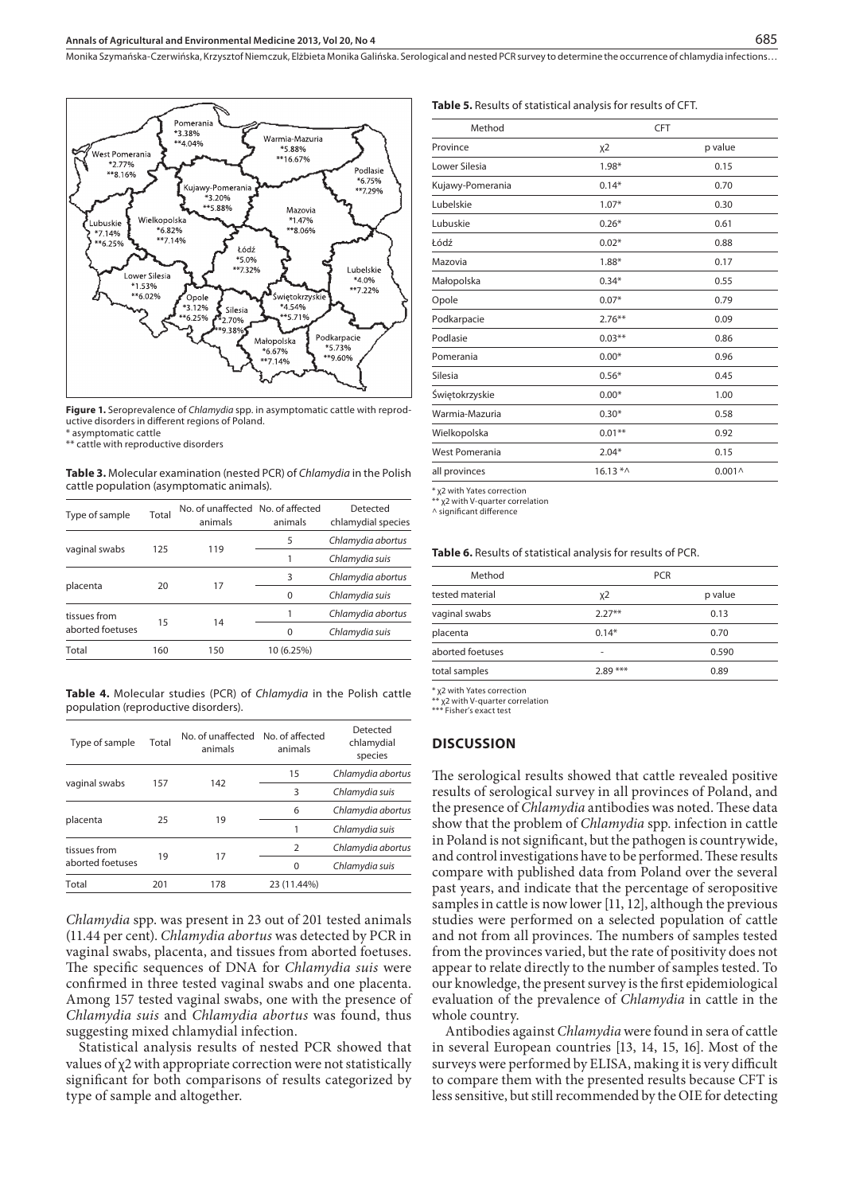#### **Annals of Agricultural and Environmental Medicine 2013, Vol 20, No 4**

Monika Szymańska-Czerwińska, Krzysztof Niemczuk, Elżbieta Monika Galińska . Serological and nested PCR survey to determine the occurrence of chlamydia infections…



**Figure 1.** Seroprevalence of *Chlamydia* spp. in asymptomatic cattle with reproductive disorders in different regions of Poland.

\* asymptomatic cattle

\*\* cattle with reproductive disorders

**Table 3.** Molecular examination (nested PCR) of *Chlamydia* in the Polish cattle population (asymptomatic animals).

| Type of sample   | Total | No. of unaffected No. of affected<br>animals | animals    | Detected<br>chlamydial species |  |
|------------------|-------|----------------------------------------------|------------|--------------------------------|--|
|                  |       |                                              | 5          | Chlamydia abortus              |  |
| vaginal swabs    | 125   | 119                                          |            | Chlamydia suis                 |  |
| placenta         | 20    |                                              | 3          | Chlamydia abortus              |  |
|                  |       | 17                                           | $\Omega$   | Chlamydia suis                 |  |
| tissues from     | 15    |                                              |            | Chlamydia abortus              |  |
| aborted foetuses |       | 14                                           | $\Omega$   | Chlamydia suis                 |  |
| Total            | 160   | 150                                          | 10 (6.25%) |                                |  |
|                  |       |                                              |            |                                |  |

**Table 4.** Molecular studies (PCR) of *Chlamydia* in the Polish cattle population (reproductive disorders).

| Type of sample   | Total | No. of unaffected No. of affected<br>animals | animals        | Detected<br>chlamydial<br>species |  |
|------------------|-------|----------------------------------------------|----------------|-----------------------------------|--|
|                  |       |                                              | 15             | Chlamydia abortus                 |  |
| vaginal swabs    | 157   | 142                                          | 3              | Chlamydia suis                    |  |
|                  | 25    | 19                                           | 6              | Chlamydia abortus                 |  |
| placenta         |       |                                              | 1              | Chlamydia suis                    |  |
| tissues from     |       |                                              | $\overline{2}$ | Chlamydia abortus                 |  |
| aborted foetuses | 19    | 17                                           | $\Omega$       | Chlamydia suis                    |  |
| Total            | 201   | 178                                          | 23 (11.44%)    |                                   |  |

*Chlamydia* spp. was present in 23 out of 201 tested animals (11.44 per cent). *Chlamydia abortus* was detected by PCR in vaginal swabs, placenta, and tissues from aborted foetuses. The specific sequences of DNA for *Chlamydia suis* were confirmed in three tested vaginal swabs and one placenta. Among 157 tested vaginal swabs, one with the presence of *Chlamydia suis* and *Chlamydia abortus* was found, thus suggesting mixed chlamydial infection.

Statistical analysis results of nested PCR showed that values of  $\chi$ 2 with appropriate correction were not statistically significant for both comparisons of results categorized by type of sample and altogether.

#### **Table 5.** Results of statistical analysis for results of CFT.

| <b>CFT</b> |                    |  |
|------------|--------------------|--|
| $X^2$      | p value            |  |
| $1.98*$    | 0.15               |  |
| $0.14*$    | 0.70               |  |
| $1.07*$    | 0.30               |  |
| $0.26*$    | 0.61               |  |
| $0.02*$    | 0.88               |  |
| $1.88*$    | 0.17               |  |
| $0.34*$    | 0.55               |  |
| $0.07*$    | 0.79               |  |
| $2.76***$  | 0.09               |  |
| $0.03***$  | 0.86               |  |
| $0.00*$    | 0.96               |  |
| $0.56*$    | 0.45               |  |
| $0.00*$    | 1.00               |  |
| $0.30*$    | 0.58               |  |
| $0.01***$  | 0.92               |  |
| $2.04*$    | 0.15               |  |
|            | 0.001 <sub>0</sub> |  |
|            | $16.13 * ^*$       |  |

\* χ2 with Yates correction

.<br>x2 with V-quarter correlation ^ significant difference

## **Table 6.** Results of statistical analysis for results of PCR.

| Method           | <b>PCR</b> |         |  |
|------------------|------------|---------|--|
| tested material  | $x^2$      | p value |  |
| vaginal swabs    | $2.27**$   | 0.13    |  |
| placenta         | $0.14*$    | 0.70    |  |
| aborted foetuses | ۰          | 0.590   |  |
| total samples    | $2.89***$  | 0.89    |  |
|                  |            |         |  |

\* χ2 with Yates correction

\*\* χ2 with V-quarter correlation \*\*\* Fisher's exact test

# **DISCUSSION**

The serological results showed that cattle revealed positive results of serological survey in all provinces of Poland, and the presence of *Chlamydia* antibodies was noted. These data show that the problem of *Chlamydia* spp. infection in cattle in Poland is not significant, but the pathogen is countrywide, and control investigations have to be performed. These results compare with published data from Poland over the several past years, and indicate that the percentage of seropositive samples in cattle is now lower [11, 12], although the previous studies were performed on a selected population of cattle and not from all provinces. The numbers of samples tested from the provinces varied, but the rate of positivity does not appear to relate directly to the number of samples tested. To our knowledge, the present survey is the first epidemiological evaluation of the prevalence of *Chlamydia* in cattle in the whole country.

Antibodies against *Chlamydia* were found in sera of cattle in several European countries [13, 14, 15, 16]. Most of the surveys were performed by ELISA, making it is very difficult to compare them with the presented results because CFT is less sensitive, but still recommended by the OIE for detecting